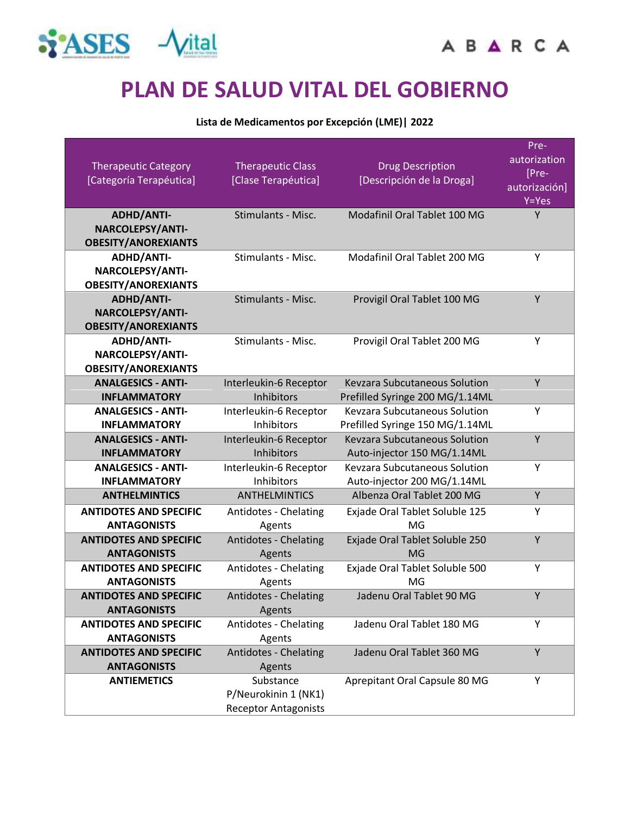

# **PLAN DE SALUD VITAL DEL GOBIERNO**

#### **Lista de Medicamentos por Excepción (LME)| 2022**

| <b>Therapeutic Category</b><br>[Categoría Terapéutica] | <b>Therapeutic Class</b><br>[Clase Terapéutica] | <b>Drug Description</b><br>[Descripción de la Droga]             | Pre-<br>autorization<br>[Pre-<br>autorización]<br>$Y = Yes$ |
|--------------------------------------------------------|-------------------------------------------------|------------------------------------------------------------------|-------------------------------------------------------------|
| <b>ADHD/ANTI-</b>                                      | Stimulants - Misc.                              | Modafinil Oral Tablet 100 MG                                     | Y                                                           |
| NARCOLEPSY/ANTI-<br><b>OBESITY/ANOREXIANTS</b>         |                                                 |                                                                  |                                                             |
| <b>ADHD/ANTI-</b>                                      | Stimulants - Misc.                              | Modafinil Oral Tablet 200 MG                                     | Υ                                                           |
| NARCOLEPSY/ANTI-                                       |                                                 |                                                                  |                                                             |
| <b>OBESITY/ANOREXIANTS</b>                             |                                                 |                                                                  |                                                             |
| <b>ADHD/ANTI-</b>                                      | Stimulants - Misc.                              | Provigil Oral Tablet 100 MG                                      | Y                                                           |
| NARCOLEPSY/ANTI-                                       |                                                 |                                                                  |                                                             |
| <b>OBESITY/ANOREXIANTS</b>                             |                                                 |                                                                  |                                                             |
| <b>ADHD/ANTI-</b>                                      | Stimulants - Misc.                              | Provigil Oral Tablet 200 MG                                      | Y                                                           |
| NARCOLEPSY/ANTI-                                       |                                                 |                                                                  |                                                             |
| <b>OBESITY/ANOREXIANTS</b>                             |                                                 |                                                                  |                                                             |
| <b>ANALGESICS - ANTI-</b>                              | Interleukin-6 Receptor<br><b>Inhibitors</b>     | <b>Keyzara Subcutaneous Solution</b>                             | Y                                                           |
| <b>INFLAMMATORY</b><br><b>ANALGESICS - ANTI-</b>       | Interleukin-6 Receptor                          | Prefilled Syringe 200 MG/1.14ML<br>Kevzara Subcutaneous Solution | Υ                                                           |
| <b>INFLAMMATORY</b>                                    | <b>Inhibitors</b>                               | Prefilled Syringe 150 MG/1.14ML                                  |                                                             |
| <b>ANALGESICS - ANTI-</b>                              | Interleukin-6 Receptor                          | Kevzara Subcutaneous Solution                                    | Υ                                                           |
| <b>INFLAMMATORY</b>                                    | Inhibitors                                      | Auto-injector 150 MG/1.14ML                                      |                                                             |
| <b>ANALGESICS - ANTI-</b>                              | Interleukin-6 Receptor                          | Kevzara Subcutaneous Solution                                    | Υ                                                           |
| <b>INFLAMMATORY</b>                                    | Inhibitors                                      | Auto-injector 200 MG/1.14ML                                      |                                                             |
| <b>ANTHELMINTICS</b>                                   | <b>ANTHELMINTICS</b>                            | Albenza Oral Tablet 200 MG                                       | Y                                                           |
| <b>ANTIDOTES AND SPECIFIC</b>                          | Antidotes - Chelating                           | Exjade Oral Tablet Soluble 125                                   | Υ                                                           |
| <b>ANTAGONISTS</b>                                     | Agents                                          | MG                                                               |                                                             |
| <b>ANTIDOTES AND SPECIFIC</b>                          | Antidotes - Chelating                           | Exjade Oral Tablet Soluble 250                                   | Y                                                           |
| <b>ANTAGONISTS</b>                                     | Agents                                          | MG                                                               |                                                             |
| <b>ANTIDOTES AND SPECIFIC</b>                          | Antidotes - Chelating                           | Exjade Oral Tablet Soluble 500                                   | Υ                                                           |
| <b>ANTAGONISTS</b>                                     | Agents                                          | MG                                                               |                                                             |
| <b>ANTIDOTES AND SPECIFIC</b>                          | Antidotes - Chelating                           | Jadenu Oral Tablet 90 MG                                         | Y                                                           |
| <b>ANTAGONISTS</b>                                     | Agents                                          |                                                                  |                                                             |
| <b>ANTIDOTES AND SPECIFIC</b>                          | Antidotes - Chelating                           | Jadenu Oral Tablet 180 MG                                        | Y                                                           |
| <b>ANTAGONISTS</b><br><b>ANTIDOTES AND SPECIFIC</b>    | Agents                                          | Jadenu Oral Tablet 360 MG                                        | Υ                                                           |
| <b>ANTAGONISTS</b>                                     | Antidotes - Chelating<br>Agents                 |                                                                  |                                                             |
| <b>ANTIEMETICS</b>                                     | Substance                                       | Aprepitant Oral Capsule 80 MG                                    | Υ                                                           |
|                                                        | P/Neurokinin 1 (NK1)                            |                                                                  |                                                             |
|                                                        | <b>Receptor Antagonists</b>                     |                                                                  |                                                             |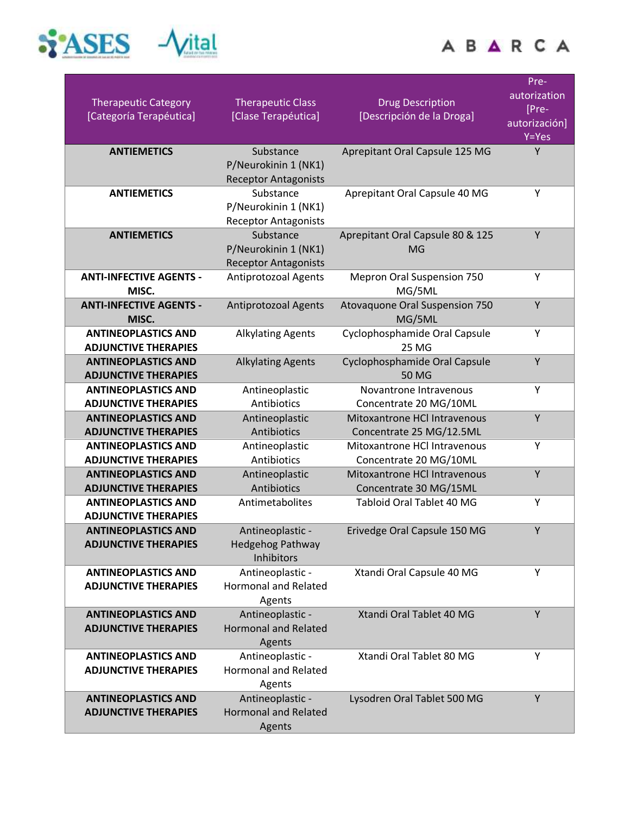



| <b>Therapeutic Category</b><br>[Categoría Terapéutica]    | <b>Therapeutic Class</b><br>[Clase Terapéutica]     | <b>Drug Description</b><br>[Descripción de la Droga]   | Pre-<br>autorization<br>[Pre-<br>autorización]<br>Y=Yes |
|-----------------------------------------------------------|-----------------------------------------------------|--------------------------------------------------------|---------------------------------------------------------|
| <b>ANTIEMETICS</b>                                        | Substance                                           | Aprepitant Oral Capsule 125 MG                         | Y                                                       |
|                                                           | P/Neurokinin 1 (NK1)                                |                                                        |                                                         |
|                                                           | <b>Receptor Antagonists</b>                         |                                                        |                                                         |
| <b>ANTIEMETICS</b>                                        | Substance                                           | Aprepitant Oral Capsule 40 MG                          | Y                                                       |
|                                                           | P/Neurokinin 1 (NK1)                                |                                                        |                                                         |
|                                                           | <b>Receptor Antagonists</b>                         |                                                        | Y                                                       |
| <b>ANTIEMETICS</b>                                        | Substance                                           | Aprepitant Oral Capsule 80 & 125<br><b>MG</b>          |                                                         |
|                                                           | P/Neurokinin 1 (NK1)<br><b>Receptor Antagonists</b> |                                                        |                                                         |
| <b>ANTI-INFECTIVE AGENTS -</b>                            | <b>Antiprotozoal Agents</b>                         | <b>Mepron Oral Suspension 750</b>                      | Y                                                       |
| MISC.                                                     |                                                     | MG/5ML                                                 |                                                         |
| <b>ANTI-INFECTIVE AGENTS -</b>                            | <b>Antiprotozoal Agents</b>                         | Atovaquone Oral Suspension 750                         | Y                                                       |
| MISC.                                                     |                                                     | MG/5ML                                                 |                                                         |
| <b>ANTINEOPLASTICS AND</b>                                | <b>Alkylating Agents</b>                            | Cyclophosphamide Oral Capsule                          | Y                                                       |
| <b>ADJUNCTIVE THERAPIES</b>                               |                                                     | <b>25 MG</b>                                           |                                                         |
| <b>ANTINEOPLASTICS AND</b>                                | <b>Alkylating Agents</b>                            | Cyclophosphamide Oral Capsule                          | Y                                                       |
| <b>ADJUNCTIVE THERAPIES</b>                               |                                                     | <b>50 MG</b>                                           |                                                         |
| <b>ANTINEOPLASTICS AND</b>                                | Antineoplastic                                      | Novantrone Intravenous                                 | Y                                                       |
| <b>ADJUNCTIVE THERAPIES</b>                               | Antibiotics                                         | Concentrate 20 MG/10ML                                 |                                                         |
| <b>ANTINEOPLASTICS AND</b>                                | Antineoplastic                                      | Mitoxantrone HCl Intravenous                           | Y                                                       |
| <b>ADJUNCTIVE THERAPIES</b>                               | Antibiotics                                         | Concentrate 25 MG/12.5ML                               | Y                                                       |
| <b>ANTINEOPLASTICS AND</b><br><b>ADJUNCTIVE THERAPIES</b> | Antineoplastic<br>Antibiotics                       | Mitoxantrone HCl Intravenous<br>Concentrate 20 MG/10ML |                                                         |
| <b>ANTINEOPLASTICS AND</b>                                | Antineoplastic                                      | Mitoxantrone HCl Intravenous                           | Y                                                       |
| <b>ADJUNCTIVE THERAPIES</b>                               | Antibiotics                                         | Concentrate 30 MG/15ML                                 |                                                         |
| <b>ANTINEOPLASTICS AND</b>                                | Antimetabolites                                     | <b>Tabloid Oral Tablet 40 MG</b>                       | Y                                                       |
| <b>ADJUNCTIVE THERAPIES</b>                               |                                                     |                                                        |                                                         |
| <b>ANTINEOPLASTICS AND</b>                                | Antineoplastic -                                    | Erivedge Oral Capsule 150 MG                           | Y                                                       |
| <b>ADJUNCTIVE THERAPIES</b>                               | <b>Hedgehog Pathway</b>                             |                                                        |                                                         |
|                                                           | Inhibitors                                          |                                                        |                                                         |
| <b>ANTINEOPLASTICS AND</b>                                | Antineoplastic -                                    | Xtandi Oral Capsule 40 MG                              | Υ                                                       |
| <b>ADJUNCTIVE THERAPIES</b>                               | <b>Hormonal and Related</b>                         |                                                        |                                                         |
|                                                           | Agents                                              |                                                        |                                                         |
| <b>ANTINEOPLASTICS AND</b><br><b>ADJUNCTIVE THERAPIES</b> | Antineoplastic -<br><b>Hormonal and Related</b>     | Xtandi Oral Tablet 40 MG                               | Y                                                       |
|                                                           | Agents                                              |                                                        |                                                         |
| <b>ANTINEOPLASTICS AND</b>                                | Antineoplastic -                                    | Xtandi Oral Tablet 80 MG                               | Y                                                       |
| <b>ADJUNCTIVE THERAPIES</b>                               | <b>Hormonal and Related</b>                         |                                                        |                                                         |
|                                                           | Agents                                              |                                                        |                                                         |
| <b>ANTINEOPLASTICS AND</b>                                | Antineoplastic -                                    | Lysodren Oral Tablet 500 MG                            | Y                                                       |
| <b>ADJUNCTIVE THERAPIES</b>                               | <b>Hormonal and Related</b>                         |                                                        |                                                         |
|                                                           | Agents                                              |                                                        |                                                         |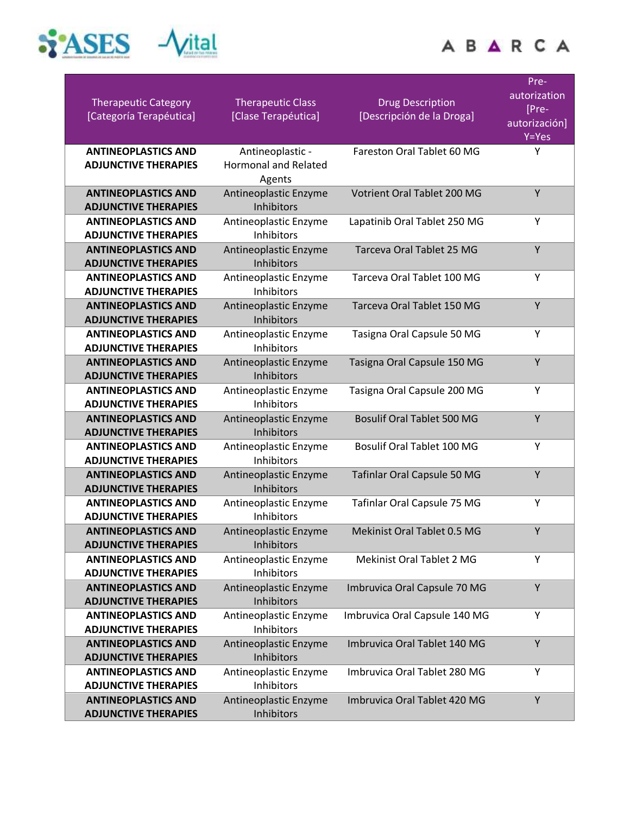



| <b>Therapeutic Category</b><br>[Categoría Terapéutica]    | <b>Therapeutic Class</b><br>[Clase Terapéutica]           | <b>Drug Description</b><br>[Descripción de la Droga] | Pre-<br>autorization<br>[Pre-<br>autorización]<br>Y=Yes |
|-----------------------------------------------------------|-----------------------------------------------------------|------------------------------------------------------|---------------------------------------------------------|
| <b>ANTINEOPLASTICS AND</b><br><b>ADJUNCTIVE THERAPIES</b> | Antineoplastic -<br><b>Hormonal and Related</b><br>Agents | Fareston Oral Tablet 60 MG                           | Υ                                                       |
| <b>ANTINEOPLASTICS AND</b><br><b>ADJUNCTIVE THERAPIES</b> | Antineoplastic Enzyme<br>Inhibitors                       | Votrient Oral Tablet 200 MG                          | Y                                                       |
| <b>ANTINEOPLASTICS AND</b><br><b>ADJUNCTIVE THERAPIES</b> | Antineoplastic Enzyme<br>Inhibitors                       | Lapatinib Oral Tablet 250 MG                         | Υ                                                       |
| <b>ANTINEOPLASTICS AND</b><br><b>ADJUNCTIVE THERAPIES</b> | Antineoplastic Enzyme<br>Inhibitors                       | Tarceva Oral Tablet 25 MG                            | Y                                                       |
| <b>ANTINEOPLASTICS AND</b><br><b>ADJUNCTIVE THERAPIES</b> | Antineoplastic Enzyme<br><b>Inhibitors</b>                | Tarceva Oral Tablet 100 MG                           | Y                                                       |
| <b>ANTINEOPLASTICS AND</b><br><b>ADJUNCTIVE THERAPIES</b> | Antineoplastic Enzyme<br><b>Inhibitors</b>                | Tarceva Oral Tablet 150 MG                           | Y                                                       |
| <b>ANTINEOPLASTICS AND</b><br><b>ADJUNCTIVE THERAPIES</b> | Antineoplastic Enzyme<br>Inhibitors                       | Tasigna Oral Capsule 50 MG                           | Y                                                       |
| <b>ANTINEOPLASTICS AND</b><br><b>ADJUNCTIVE THERAPIES</b> | Antineoplastic Enzyme<br>Inhibitors                       | Tasigna Oral Capsule 150 MG                          | Υ                                                       |
| <b>ANTINEOPLASTICS AND</b><br><b>ADJUNCTIVE THERAPIES</b> | Antineoplastic Enzyme<br><b>Inhibitors</b>                | Tasigna Oral Capsule 200 MG                          | Y                                                       |
| <b>ANTINEOPLASTICS AND</b><br><b>ADJUNCTIVE THERAPIES</b> | Antineoplastic Enzyme<br>Inhibitors                       | <b>Bosulif Oral Tablet 500 MG</b>                    | Υ                                                       |
| <b>ANTINEOPLASTICS AND</b><br><b>ADJUNCTIVE THERAPIES</b> | Antineoplastic Enzyme<br>Inhibitors                       | Bosulif Oral Tablet 100 MG                           | Y                                                       |
| <b>ANTINEOPLASTICS AND</b><br><b>ADJUNCTIVE THERAPIES</b> | Antineoplastic Enzyme<br>Inhibitors                       | Tafinlar Oral Capsule 50 MG                          | Υ                                                       |
| <b>ANTINEOPLASTICS AND</b><br><b>ADJUNCTIVE THERAPIES</b> | Antineoplastic Enzyme<br><b>Inhibitors</b>                | Tafinlar Oral Capsule 75 MG                          | Y                                                       |
| <b>ANTINEOPLASTICS AND</b><br><b>ADJUNCTIVE THERAPIES</b> | Antineoplastic Enzyme<br>Inhibitors                       | Mekinist Oral Tablet 0.5 MG                          | Υ                                                       |
| <b>ANTINEOPLASTICS AND</b><br><b>ADJUNCTIVE THERAPIES</b> | Antineoplastic Enzyme<br>Inhibitors                       | Mekinist Oral Tablet 2 MG                            | Y                                                       |
| <b>ANTINEOPLASTICS AND</b><br><b>ADJUNCTIVE THERAPIES</b> | Antineoplastic Enzyme<br>Inhibitors                       | Imbruvica Oral Capsule 70 MG                         | Y                                                       |
| <b>ANTINEOPLASTICS AND</b><br><b>ADJUNCTIVE THERAPIES</b> | Antineoplastic Enzyme<br>Inhibitors                       | Imbruvica Oral Capsule 140 MG                        | Y                                                       |
| <b>ANTINEOPLASTICS AND</b><br><b>ADJUNCTIVE THERAPIES</b> | Antineoplastic Enzyme<br><b>Inhibitors</b>                | Imbruvica Oral Tablet 140 MG                         | Υ                                                       |
| <b>ANTINEOPLASTICS AND</b><br><b>ADJUNCTIVE THERAPIES</b> | Antineoplastic Enzyme<br>Inhibitors                       | Imbruvica Oral Tablet 280 MG                         | Y                                                       |
| <b>ANTINEOPLASTICS AND</b><br><b>ADJUNCTIVE THERAPIES</b> | Antineoplastic Enzyme<br>Inhibitors                       | Imbruvica Oral Tablet 420 MG                         | Y                                                       |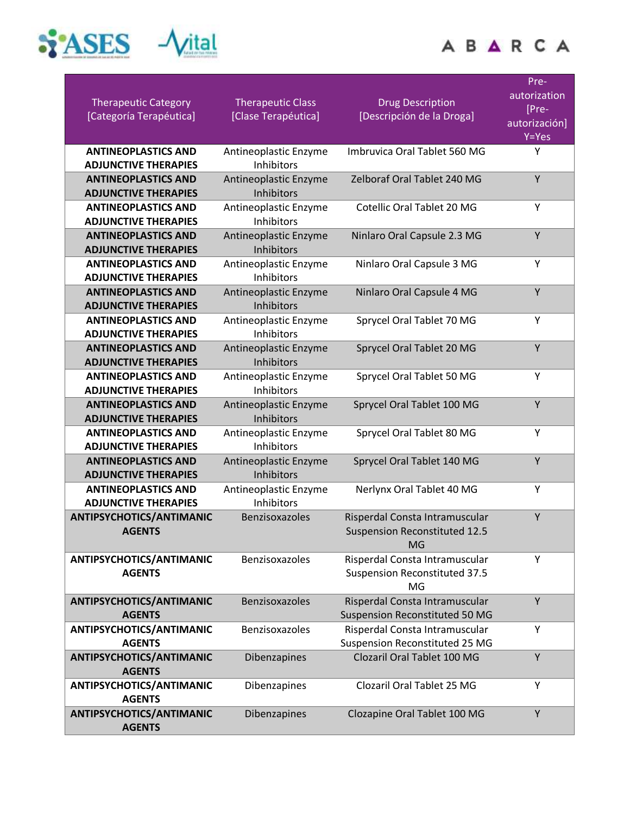

| <b>ALCOHOL</b><br>1.11                           |  |
|--------------------------------------------------|--|
|                                                  |  |
| ٠<br>۱                                           |  |
| a di anni fiasa mAzar<br><b>BACCA FOREST BOX</b> |  |

| <b>Therapeutic Category</b><br>[Categoría Terapéutica]                                  | <b>Therapeutic Class</b><br>[Clase Terapéutica]              | <b>Drug Description</b><br>[Descripción de la Droga]                         | Pre-<br>autorization<br>[Pre-<br>autorización]<br>$Y = Yes$ |
|-----------------------------------------------------------------------------------------|--------------------------------------------------------------|------------------------------------------------------------------------------|-------------------------------------------------------------|
| <b>ANTINEOPLASTICS AND</b><br><b>ADJUNCTIVE THERAPIES</b>                               | Antineoplastic Enzyme<br><b>Inhibitors</b>                   | Imbruvica Oral Tablet 560 MG                                                 | Υ                                                           |
| <b>ANTINEOPLASTICS AND</b><br><b>ADJUNCTIVE THERAPIES</b>                               | Antineoplastic Enzyme<br>Inhibitors                          | Zelboraf Oral Tablet 240 MG                                                  | Y                                                           |
| <b>ANTINEOPLASTICS AND</b><br><b>ADJUNCTIVE THERAPIES</b>                               | Antineoplastic Enzyme<br>Inhibitors                          | Cotellic Oral Tablet 20 MG                                                   | Υ                                                           |
| <b>ANTINEOPLASTICS AND</b><br><b>ADJUNCTIVE THERAPIES</b>                               | Antineoplastic Enzyme<br>Inhibitors                          | Ninlaro Oral Capsule 2.3 MG                                                  | Y                                                           |
| <b>ANTINEOPLASTICS AND</b><br><b>ADJUNCTIVE THERAPIES</b>                               | Antineoplastic Enzyme<br><b>Inhibitors</b>                   | Ninlaro Oral Capsule 3 MG                                                    | Υ                                                           |
| <b>ANTINEOPLASTICS AND</b><br><b>ADJUNCTIVE THERAPIES</b>                               | Antineoplastic Enzyme<br>Inhibitors                          | Ninlaro Oral Capsule 4 MG                                                    | Y                                                           |
| <b>ANTINEOPLASTICS AND</b><br><b>ADJUNCTIVE THERAPIES</b>                               | Antineoplastic Enzyme<br>Inhibitors                          | Sprycel Oral Tablet 70 MG                                                    | Υ                                                           |
| <b>ANTINEOPLASTICS AND</b><br><b>ADJUNCTIVE THERAPIES</b>                               | Antineoplastic Enzyme<br>Inhibitors                          | Sprycel Oral Tablet 20 MG                                                    | Y                                                           |
| <b>ANTINEOPLASTICS AND</b><br><b>ADJUNCTIVE THERAPIES</b>                               | Antineoplastic Enzyme<br><b>Inhibitors</b>                   | Sprycel Oral Tablet 50 MG                                                    | Υ<br>Y                                                      |
| <b>ANTINEOPLASTICS AND</b><br><b>ADJUNCTIVE THERAPIES</b><br><b>ANTINEOPLASTICS AND</b> | Antineoplastic Enzyme<br>Inhibitors<br>Antineoplastic Enzyme | Sprycel Oral Tablet 100 MG<br>Sprycel Oral Tablet 80 MG                      | Υ                                                           |
| <b>ADJUNCTIVE THERAPIES</b><br><b>ANTINEOPLASTICS AND</b>                               | Inhibitors<br>Antineoplastic Enzyme                          | Sprycel Oral Tablet 140 MG                                                   | Υ                                                           |
| <b>ADJUNCTIVE THERAPIES</b><br><b>ANTINEOPLASTICS AND</b>                               | Inhibitors<br>Antineoplastic Enzyme                          | Nerlynx Oral Tablet 40 MG                                                    | Υ                                                           |
| <b>ADJUNCTIVE THERAPIES</b><br><b>ANTIPSYCHOTICS/ANTIMANIC</b>                          | <b>Inhibitors</b><br>Benzisoxazoles                          | Risperdal Consta Intramuscular                                               | Y                                                           |
| <b>AGENTS</b>                                                                           |                                                              | <b>Suspension Reconstituted 12.5</b><br><b>MG</b>                            |                                                             |
| ANTIPSYCHOTICS/ANTIMANIC<br><b>AGENTS</b>                                               | Benzisoxazoles                                               | Risperdal Consta Intramuscular<br><b>Suspension Reconstituted 37.5</b><br>MG | Y                                                           |
| <b>ANTIPSYCHOTICS/ANTIMANIC</b><br><b>AGENTS</b>                                        | Benzisoxazoles                                               | Risperdal Consta Intramuscular<br>Suspension Reconstituted 50 MG             | Y                                                           |
| ANTIPSYCHOTICS/ANTIMANIC<br><b>AGENTS</b>                                               | Benzisoxazoles                                               | Risperdal Consta Intramuscular<br>Suspension Reconstituted 25 MG             | Υ                                                           |
| <b>ANTIPSYCHOTICS/ANTIMANIC</b><br><b>AGENTS</b>                                        | Dibenzapines                                                 | Clozaril Oral Tablet 100 MG                                                  | Y                                                           |
| ANTIPSYCHOTICS/ANTIMANIC<br><b>AGENTS</b>                                               | Dibenzapines                                                 | Clozaril Oral Tablet 25 MG                                                   | Y                                                           |
| ANTIPSYCHOTICS/ANTIMANIC<br><b>AGENTS</b>                                               | Dibenzapines                                                 | Clozapine Oral Tablet 100 MG                                                 | Y                                                           |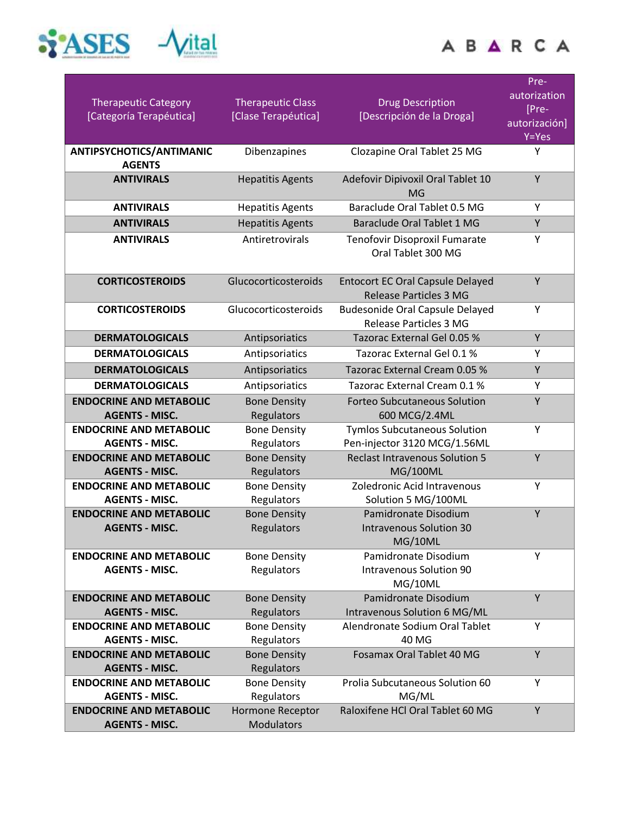

|                                       | 2.11 | <b>District Control</b><br>٠ |  |
|---------------------------------------|------|------------------------------|--|
|                                       |      |                              |  |
|                                       |      |                              |  |
| 4 IV fax NA<br>Miller (CA FORFER BER) |      |                              |  |

| <b>Therapeutic Category</b><br>[Categoría Terapéutica]  | <b>Therapeutic Class</b><br>[Clase Terapéutica] | <b>Drug Description</b><br>[Descripción de la Droga]                     | Pre-<br>autorization<br>[Pre-<br>autorización]<br>$Y = Yes$ |
|---------------------------------------------------------|-------------------------------------------------|--------------------------------------------------------------------------|-------------------------------------------------------------|
| ANTIPSYCHOTICS/ANTIMANIC<br><b>AGENTS</b>               | Dibenzapines                                    | Clozapine Oral Tablet 25 MG                                              | Υ                                                           |
| <b>ANTIVIRALS</b>                                       | <b>Hepatitis Agents</b>                         | Adefovir Dipivoxil Oral Tablet 10<br>MG                                  | Y                                                           |
| <b>ANTIVIRALS</b>                                       | <b>Hepatitis Agents</b>                         | Baraclude Oral Tablet 0.5 MG                                             | Υ                                                           |
| <b>ANTIVIRALS</b>                                       | <b>Hepatitis Agents</b>                         | <b>Baraclude Oral Tablet 1 MG</b>                                        | Y                                                           |
| <b>ANTIVIRALS</b>                                       | Antiretrovirals                                 | Tenofovir Disoproxil Fumarate<br>Oral Tablet 300 MG                      | Υ                                                           |
| <b>CORTICOSTEROIDS</b>                                  | Glucocorticosteroids                            | <b>Entocort EC Oral Capsule Delayed</b><br><b>Release Particles 3 MG</b> | Y                                                           |
| <b>CORTICOSTEROIDS</b>                                  | Glucocorticosteroids                            | <b>Budesonide Oral Capsule Delayed</b><br><b>Release Particles 3 MG</b>  | Y                                                           |
| <b>DERMATOLOGICALS</b>                                  | Antipsoriatics                                  | Tazorac External Gel 0.05 %                                              | Υ                                                           |
| <b>DERMATOLOGICALS</b>                                  | Antipsoriatics                                  | Tazorac External Gel 0.1 %                                               | Υ                                                           |
| <b>DERMATOLOGICALS</b>                                  | Antipsoriatics                                  | Tazorac External Cream 0.05 %                                            | Υ                                                           |
| <b>DERMATOLOGICALS</b>                                  | Antipsoriatics                                  | Tazorac External Cream 0.1 %                                             | Υ                                                           |
| <b>ENDOCRINE AND METABOLIC</b>                          | <b>Bone Density</b>                             | <b>Forteo Subcutaneous Solution</b>                                      | Y                                                           |
| <b>AGENTS - MISC.</b>                                   | Regulators                                      | 600 MCG/2.4ML                                                            |                                                             |
| <b>ENDOCRINE AND METABOLIC</b><br><b>AGENTS - MISC.</b> | <b>Bone Density</b><br>Regulators               | <b>Tymlos Subcutaneous Solution</b><br>Pen-injector 3120 MCG/1.56ML      | Υ                                                           |
| <b>ENDOCRINE AND METABOLIC</b>                          | <b>Bone Density</b>                             | <b>Reclast Intravenous Solution 5</b>                                    | Y                                                           |
| <b>AGENTS - MISC.</b>                                   | Regulators                                      | <b>MG/100ML</b>                                                          |                                                             |
| <b>ENDOCRINE AND METABOLIC</b>                          | <b>Bone Density</b>                             | Zoledronic Acid Intravenous                                              | Υ                                                           |
| <b>AGENTS - MISC.</b>                                   | Regulators                                      | Solution 5 MG/100ML                                                      |                                                             |
| <b>ENDOCRINE AND METABOLIC</b><br><b>AGENTS - MISC.</b> | <b>Bone Density</b><br>Regulators               | Pamidronate Disodium<br><b>Intravenous Solution 30</b><br>MG/10ML        | Y                                                           |
| <b>ENDOCRINE AND METABOLIC</b><br><b>AGENTS - MISC.</b> | <b>Bone Density</b><br>Regulators               | Pamidronate Disodium<br><b>Intravenous Solution 90</b><br>MG/10ML        | Υ                                                           |
| <b>ENDOCRINE AND METABOLIC</b><br><b>AGENTS - MISC.</b> | <b>Bone Density</b><br>Regulators               | Pamidronate Disodium<br>Intravenous Solution 6 MG/ML                     | Y                                                           |
| <b>ENDOCRINE AND METABOLIC</b><br><b>AGENTS - MISC.</b> | <b>Bone Density</b><br>Regulators               | Alendronate Sodium Oral Tablet<br>40 MG                                  | Υ                                                           |
| <b>ENDOCRINE AND METABOLIC</b><br><b>AGENTS - MISC.</b> | <b>Bone Density</b><br>Regulators               | <b>Fosamax Oral Tablet 40 MG</b>                                         | Y                                                           |
| <b>ENDOCRINE AND METABOLIC</b><br><b>AGENTS - MISC.</b> | <b>Bone Density</b><br>Regulators               | Prolia Subcutaneous Solution 60<br>MG/ML                                 | Y                                                           |
| <b>ENDOCRINE AND METABOLIC</b><br><b>AGENTS - MISC.</b> | Hormone Receptor<br><b>Modulators</b>           | Raloxifene HCl Oral Tablet 60 MG                                         | Y                                                           |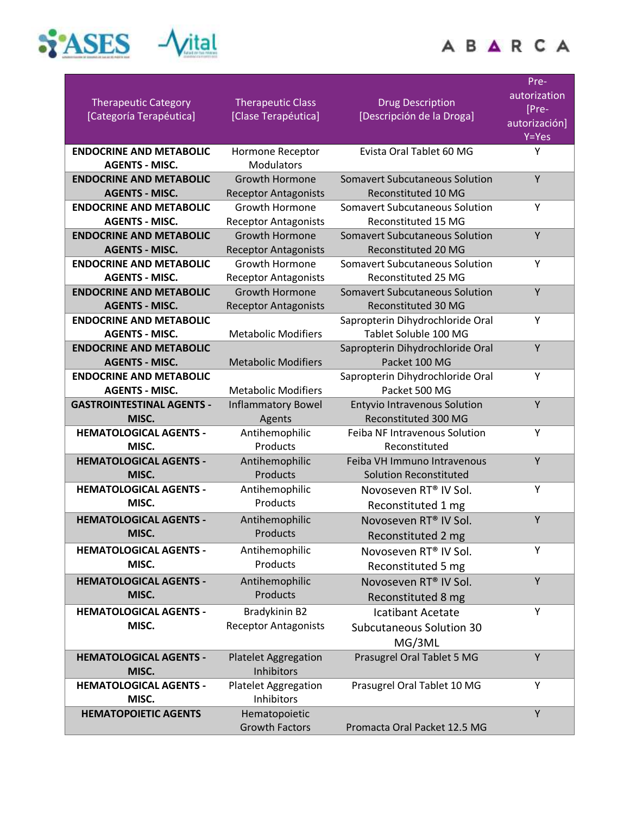

| ï<br>ï               | $-0.001$ | $\sim$<br><b>Contract Contract</b> |
|----------------------|----------|------------------------------------|
|                      |          |                                    |
| a 4 ani has nuteraes |          |                                    |

| <b>Therapeutic Category</b><br>[Categoría Terapéutica]  | <b>Therapeutic Class</b><br>[Clase Terapéutica] | <b>Drug Description</b><br>[Descripción de la Droga] | Pre-<br>autorization<br>[Pre-<br>autorización]<br>Y=Yes |
|---------------------------------------------------------|-------------------------------------------------|------------------------------------------------------|---------------------------------------------------------|
| <b>ENDOCRINE AND METABOLIC</b>                          | Hormone Receptor                                | Evista Oral Tablet 60 MG                             | Υ                                                       |
| <b>AGENTS - MISC.</b>                                   | Modulators                                      |                                                      |                                                         |
| <b>ENDOCRINE AND METABOLIC</b>                          | <b>Growth Hormone</b>                           | <b>Somavert Subcutaneous Solution</b>                | Y                                                       |
| <b>AGENTS - MISC.</b>                                   | <b>Receptor Antagonists</b>                     | Reconstituted 10 MG                                  |                                                         |
| <b>ENDOCRINE AND METABOLIC</b>                          | Growth Hormone                                  | <b>Somavert Subcutaneous Solution</b>                | Y                                                       |
| <b>AGENTS - MISC.</b>                                   | <b>Receptor Antagonists</b>                     | Reconstituted 15 MG                                  |                                                         |
| <b>ENDOCRINE AND METABOLIC</b>                          | <b>Growth Hormone</b>                           | <b>Somavert Subcutaneous Solution</b>                | Y                                                       |
| <b>AGENTS - MISC.</b>                                   | <b>Receptor Antagonists</b>                     | Reconstituted 20 MG                                  |                                                         |
| <b>ENDOCRINE AND METABOLIC</b>                          | Growth Hormone                                  | <b>Somavert Subcutaneous Solution</b>                | Υ                                                       |
| <b>AGENTS - MISC.</b>                                   | <b>Receptor Antagonists</b>                     | Reconstituted 25 MG                                  |                                                         |
| <b>ENDOCRINE AND METABOLIC</b>                          | <b>Growth Hormone</b>                           | <b>Somavert Subcutaneous Solution</b>                | Y                                                       |
| <b>AGENTS - MISC.</b>                                   | <b>Receptor Antagonists</b>                     | <b>Reconstituted 30 MG</b>                           |                                                         |
| <b>ENDOCRINE AND METABOLIC</b>                          |                                                 | Sapropterin Dihydrochloride Oral                     | Y                                                       |
| <b>AGENTS - MISC.</b>                                   | <b>Metabolic Modifiers</b>                      | Tablet Soluble 100 MG                                |                                                         |
| <b>ENDOCRINE AND METABOLIC</b>                          |                                                 | Sapropterin Dihydrochloride Oral                     | Y                                                       |
| <b>AGENTS - MISC.</b><br><b>ENDOCRINE AND METABOLIC</b> | <b>Metabolic Modifiers</b>                      | Packet 100 MG                                        |                                                         |
| <b>AGENTS - MISC.</b>                                   | <b>Metabolic Modifiers</b>                      | Sapropterin Dihydrochloride Oral<br>Packet 500 MG    | Υ                                                       |
| <b>GASTROINTESTINAL AGENTS -</b>                        | <b>Inflammatory Bowel</b>                       | <b>Entyvio Intravenous Solution</b>                  | Y                                                       |
| MISC.                                                   | Agents                                          | <b>Reconstituted 300 MG</b>                          |                                                         |
| <b>HEMATOLOGICAL AGENTS -</b>                           | Antihemophilic                                  | <b>Feiba NF Intravenous Solution</b>                 | Y                                                       |
| MISC.                                                   | Products                                        | Reconstituted                                        |                                                         |
| <b>HEMATOLOGICAL AGENTS -</b>                           | Antihemophilic                                  | Feiba VH Immuno Intravenous                          | Y                                                       |
| MISC.                                                   | Products                                        | <b>Solution Reconstituted</b>                        |                                                         |
| <b>HEMATOLOGICAL AGENTS -</b>                           | Antihemophilic                                  | Novoseven RT <sup>®</sup> IV Sol.                    | Y                                                       |
| MISC.                                                   | Products                                        | Reconstituted 1 mg                                   |                                                         |
| <b>HEMATOLOGICAL AGENTS -</b>                           | Antihemophilic                                  | Novoseven RT® IV Sol.                                | Y                                                       |
| MISC.                                                   | Products                                        | Reconstituted 2 mg                                   |                                                         |
| <b>HEMATOLOGICAL AGENTS -</b>                           | Antihemophilic                                  | Novoseven RT <sup>®</sup> IV Sol.                    | Y                                                       |
| MISC.                                                   | Products                                        | Reconstituted 5 mg                                   |                                                         |
| <b>HEMATOLOGICAL AGENTS -</b>                           | Antihemophilic                                  | Novoseven RT® IV Sol.                                | Y                                                       |
| MISC.                                                   | Products                                        | Reconstituted 8 mg                                   |                                                         |
| <b>HEMATOLOGICAL AGENTS -</b>                           | Bradykinin B2                                   | Icatibant Acetate                                    | Y                                                       |
| MISC.                                                   | <b>Receptor Antagonists</b>                     | Subcutaneous Solution 30                             |                                                         |
|                                                         |                                                 | MG/3ML                                               |                                                         |
| <b>HEMATOLOGICAL AGENTS -</b>                           | <b>Platelet Aggregation</b>                     | Prasugrel Oral Tablet 5 MG                           | Y                                                       |
| MISC.                                                   | Inhibitors                                      |                                                      |                                                         |
| <b>HEMATOLOGICAL AGENTS -</b>                           | <b>Platelet Aggregation</b>                     | Prasugrel Oral Tablet 10 MG                          | Υ                                                       |
| MISC.                                                   | Inhibitors                                      |                                                      |                                                         |
| <b>HEMATOPOIETIC AGENTS</b>                             | Hematopoietic                                   |                                                      | Υ                                                       |
|                                                         | <b>Growth Factors</b>                           | Promacta Oral Packet 12.5 MG                         |                                                         |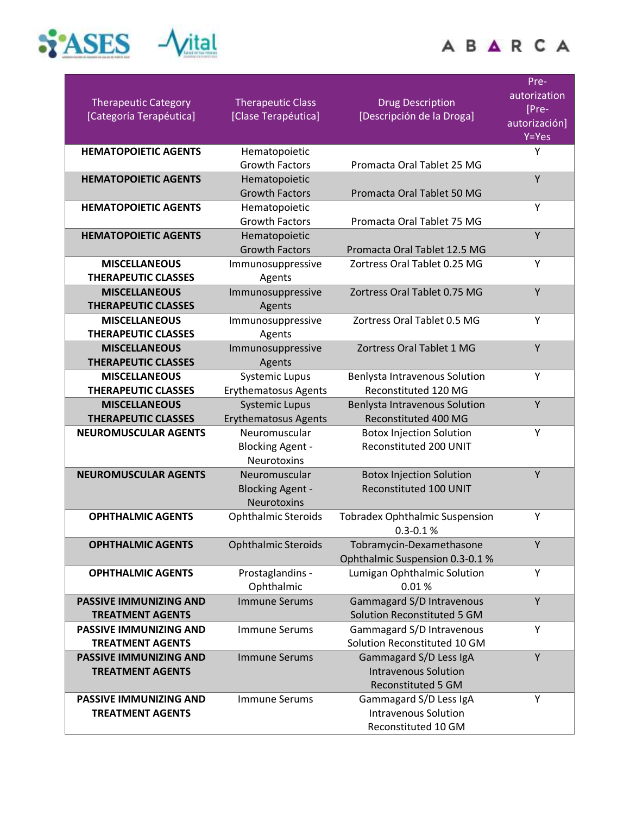

|                                                          |                                                      |                                                       | Pre-                  |
|----------------------------------------------------------|------------------------------------------------------|-------------------------------------------------------|-----------------------|
| <b>Therapeutic Category</b>                              | <b>Therapeutic Class</b>                             | <b>Drug Description</b>                               | autorization<br>[Pre- |
| [Categoría Terapéutica]                                  | [Clase Terapéutica]                                  | [Descripción de la Droga]                             | autorización]         |
|                                                          |                                                      |                                                       | $Y = Yes$             |
| <b>HEMATOPOIETIC AGENTS</b>                              | Hematopoietic                                        |                                                       | Υ                     |
|                                                          | <b>Growth Factors</b>                                | Promacta Oral Tablet 25 MG                            |                       |
| <b>HEMATOPOIETIC AGENTS</b>                              | Hematopoietic                                        |                                                       | Y                     |
|                                                          | <b>Growth Factors</b>                                | Promacta Oral Tablet 50 MG                            |                       |
| <b>HEMATOPOIETIC AGENTS</b>                              | Hematopoietic                                        |                                                       | Y                     |
|                                                          | <b>Growth Factors</b>                                | Promacta Oral Tablet 75 MG                            |                       |
| <b>HEMATOPOIETIC AGENTS</b>                              | Hematopoietic                                        |                                                       | Y                     |
|                                                          | <b>Growth Factors</b>                                | Promacta Oral Tablet 12.5 MG                          |                       |
| <b>MISCELLANEOUS</b>                                     | Immunosuppressive                                    | Zortress Oral Tablet 0.25 MG                          | Υ                     |
| <b>THERAPEUTIC CLASSES</b>                               | Agents                                               |                                                       |                       |
| <b>MISCELLANEOUS</b>                                     | Immunosuppressive                                    | Zortress Oral Tablet 0.75 MG                          | Υ                     |
| <b>THERAPEUTIC CLASSES</b>                               | Agents                                               |                                                       |                       |
| <b>MISCELLANEOUS</b>                                     | Immunosuppressive                                    | Zortress Oral Tablet 0.5 MG                           | Y                     |
| <b>THERAPEUTIC CLASSES</b>                               | Agents                                               |                                                       |                       |
| <b>MISCELLANEOUS</b>                                     | Immunosuppressive                                    | Zortress Oral Tablet 1 MG                             | Y                     |
| <b>THERAPEUTIC CLASSES</b>                               | Agents                                               |                                                       |                       |
| <b>MISCELLANEOUS</b>                                     | <b>Systemic Lupus</b>                                | Benlysta Intravenous Solution                         | Υ                     |
| <b>THERAPEUTIC CLASSES</b>                               | <b>Erythematosus Agents</b>                          | Reconstituted 120 MG                                  | Υ                     |
| <b>MISCELLANEOUS</b><br><b>THERAPEUTIC CLASSES</b>       | <b>Systemic Lupus</b><br><b>Erythematosus Agents</b> | Benlysta Intravenous Solution<br>Reconstituted 400 MG |                       |
| <b>NEUROMUSCULAR AGENTS</b>                              | Neuromuscular                                        | <b>Botox Injection Solution</b>                       | Y                     |
|                                                          | <b>Blocking Agent -</b>                              | Reconstituted 200 UNIT                                |                       |
|                                                          | Neurotoxins                                          |                                                       |                       |
| <b>NEUROMUSCULAR AGENTS</b>                              | Neuromuscular                                        | <b>Botox Injection Solution</b>                       | Y                     |
|                                                          | <b>Blocking Agent -</b>                              | <b>Reconstituted 100 UNIT</b>                         |                       |
|                                                          | <b>Neurotoxins</b>                                   |                                                       |                       |
| <b>OPHTHALMIC AGENTS</b>                                 | <b>Ophthalmic Steroids</b>                           | <b>Tobradex Ophthalmic Suspension</b>                 | Υ                     |
|                                                          |                                                      | $0.3 - 0.1 %$                                         |                       |
| <b>OPHTHALMIC AGENTS</b>                                 | <b>Ophthalmic Steroids</b>                           | Tobramycin-Dexamethasone                              | Υ                     |
|                                                          |                                                      | Ophthalmic Suspension 0.3-0.1 %                       |                       |
| <b>OPHTHALMIC AGENTS</b>                                 | Prostaglandins -                                     | Lumigan Ophthalmic Solution                           | Y                     |
|                                                          | Ophthalmic                                           | 0.01%                                                 |                       |
| <b>PASSIVE IMMUNIZING AND</b>                            | <b>Immune Serums</b>                                 | Gammagard S/D Intravenous                             | Y                     |
| <b>TREATMENT AGENTS</b>                                  |                                                      | Solution Reconstituted 5 GM                           |                       |
| <b>PASSIVE IMMUNIZING AND</b>                            | <b>Immune Serums</b>                                 | Gammagard S/D Intravenous                             | Υ                     |
| <b>TREATMENT AGENTS</b>                                  |                                                      | Solution Reconstituted 10 GM                          |                       |
| <b>PASSIVE IMMUNIZING AND</b><br><b>TREATMENT AGENTS</b> | <b>Immune Serums</b>                                 | Gammagard S/D Less IgA                                | Υ                     |
|                                                          |                                                      | <b>Intravenous Solution</b><br>Reconstituted 5 GM     |                       |
| PASSIVE IMMUNIZING AND                                   | <b>Immune Serums</b>                                 | Gammagard S/D Less IgA                                | Y                     |
| <b>TREATMENT AGENTS</b>                                  |                                                      | <b>Intravenous Solution</b>                           |                       |
|                                                          |                                                      | Reconstituted 10 GM                                   |                       |
|                                                          |                                                      |                                                       |                       |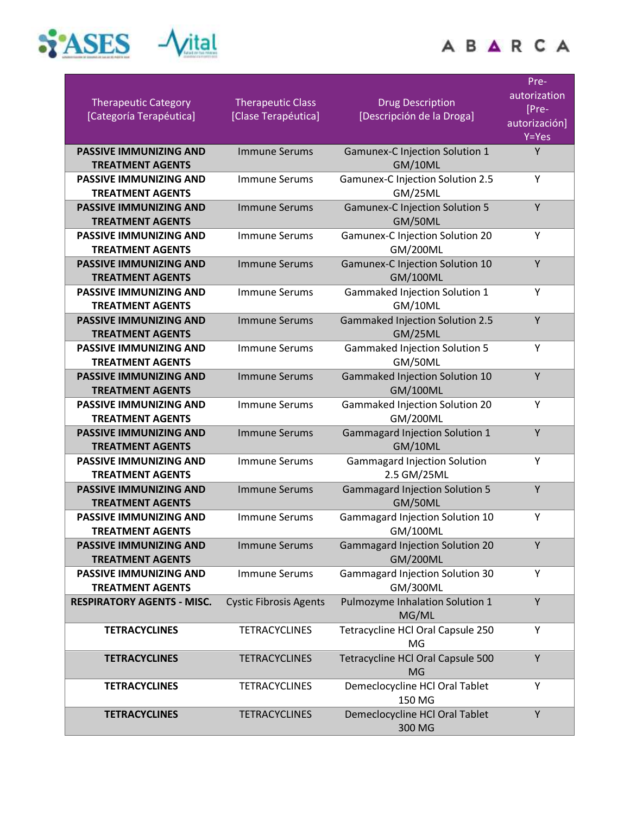

|              | 2.11 |                                          | ٠<br>٠ |
|--------------|------|------------------------------------------|--------|
|              |      |                                          |        |
| ٠<br>۲<br>v. |      |                                          | ۰      |
|              |      | <b><i><u>Grad mi has rearwer</u></i></b> |        |
| ٠            |      | AUDIO CARDINER                           |        |

| <b>Therapeutic Category</b><br>[Categoría Terapéutica]   | <b>Therapeutic Class</b><br>[Clase Terapéutica] | <b>Drug Description</b><br>[Descripción de la Droga]      | Pre-<br>autorization<br>[Pre-<br>autorización]<br>Y=Yes |
|----------------------------------------------------------|-------------------------------------------------|-----------------------------------------------------------|---------------------------------------------------------|
| <b>PASSIVE IMMUNIZING AND</b><br><b>TREATMENT AGENTS</b> | <b>Immune Serums</b>                            | <b>Gamunex-C Injection Solution 1</b><br>GM/10ML          | Y                                                       |
| <b>PASSIVE IMMUNIZING AND</b><br><b>TREATMENT AGENTS</b> | <b>Immune Serums</b>                            | <b>Gamunex-C Injection Solution 2.5</b><br>GM/25ML        | Y                                                       |
| <b>PASSIVE IMMUNIZING AND</b><br><b>TREATMENT AGENTS</b> | <b>Immune Serums</b>                            | <b>Gamunex-C Injection Solution 5</b><br>GM/50ML          | Υ                                                       |
| <b>PASSIVE IMMUNIZING AND</b><br><b>TREATMENT AGENTS</b> | <b>Immune Serums</b>                            | Gamunex-C Injection Solution 20<br><b>GM/200ML</b>        | Y                                                       |
| <b>PASSIVE IMMUNIZING AND</b><br><b>TREATMENT AGENTS</b> | <b>Immune Serums</b>                            | Gamunex-C Injection Solution 10<br><b>GM/100ML</b>        | Υ                                                       |
| <b>PASSIVE IMMUNIZING AND</b><br><b>TREATMENT AGENTS</b> | <b>Immune Serums</b>                            | Gammaked Injection Solution 1<br>GM/10ML                  | Υ                                                       |
| <b>PASSIVE IMMUNIZING AND</b><br><b>TREATMENT AGENTS</b> | <b>Immune Serums</b>                            | <b>Gammaked Injection Solution 2.5</b><br>GM/25ML         | Y                                                       |
| <b>PASSIVE IMMUNIZING AND</b><br><b>TREATMENT AGENTS</b> | <b>Immune Serums</b>                            | <b>Gammaked Injection Solution 5</b><br>GM/50ML           | Υ                                                       |
| <b>PASSIVE IMMUNIZING AND</b><br><b>TREATMENT AGENTS</b> | <b>Immune Serums</b>                            | Gammaked Injection Solution 10<br><b>GM/100ML</b>         | Y                                                       |
| <b>PASSIVE IMMUNIZING AND</b><br><b>TREATMENT AGENTS</b> | <b>Immune Serums</b>                            | Gammaked Injection Solution 20<br><b>GM/200ML</b>         | Υ                                                       |
| <b>PASSIVE IMMUNIZING AND</b><br><b>TREATMENT AGENTS</b> | <b>Immune Serums</b>                            | <b>Gammagard Injection Solution 1</b><br>GM/10ML          | Y                                                       |
| <b>PASSIVE IMMUNIZING AND</b><br><b>TREATMENT AGENTS</b> | <b>Immune Serums</b>                            | <b>Gammagard Injection Solution</b><br>2.5 GM/25ML        | Υ                                                       |
| <b>PASSIVE IMMUNIZING AND</b><br><b>TREATMENT AGENTS</b> | <b>Immune Serums</b>                            | <b>Gammagard Injection Solution 5</b><br>GM/50ML          | Y                                                       |
| <b>PASSIVE IMMUNIZING AND</b><br><b>TREATMENT AGENTS</b> | <b>Immune Serums</b>                            | Gammagard Injection Solution 10<br><b>GM/100ML</b>        | Υ                                                       |
| <b>PASSIVE IMMUNIZING AND</b><br><b>TREATMENT AGENTS</b> | <b>Immune Serums</b>                            | <b>Gammagard Injection Solution 20</b><br><b>GM/200ML</b> | Y                                                       |
| <b>PASSIVE IMMUNIZING AND</b><br><b>TREATMENT AGENTS</b> | <b>Immune Serums</b>                            | <b>Gammagard Injection Solution 30</b><br><b>GM/300ML</b> | Υ                                                       |
| <b>RESPIRATORY AGENTS - MISC.</b>                        | <b>Cystic Fibrosis Agents</b>                   | Pulmozyme Inhalation Solution 1<br>MG/ML                  | Υ                                                       |
| <b>TETRACYCLINES</b>                                     | <b>TETRACYCLINES</b>                            | Tetracycline HCl Oral Capsule 250<br>MG                   | Υ                                                       |
| <b>TETRACYCLINES</b>                                     | <b>TETRACYCLINES</b>                            | Tetracycline HCl Oral Capsule 500<br><b>MG</b>            | Y                                                       |
| <b>TETRACYCLINES</b>                                     | <b>TETRACYCLINES</b>                            | Demeclocycline HCl Oral Tablet<br>150 MG                  | Υ                                                       |
| <b>TETRACYCLINES</b>                                     | <b>TETRACYCLINES</b>                            | Demeclocycline HCl Oral Tablet<br>300 MG                  | Υ                                                       |